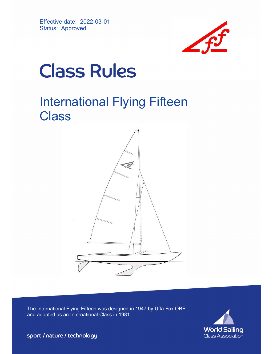

# **Class Rules**

# International Flying Fifteen **Class**



The International Flying Fifteen was designed in 1947 by Uffa Fox OBE and adopted as an International Class in 1981



sport / nature / technology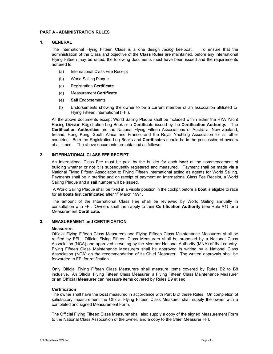# PART A - ADMINISTRATION RULES

# 1. GENERAL

The International Flying Fifteen Class is a one design racing keelboat. To ensure that the administration of the Class and objective of the Class Rules are maintained, before any International Flying Fifteen may be raced, the following documents must have been issued and the requirements adhered to:

- (a) International Class Fee Receipt
- (b) World Sailing Plaque
- (c) Registration Certificate
- (d) Measurement Certificate
- (e) Sail Endorsements
- (f) Endorsements showing the owner to be a current member of an association affiliated to Flying Fifteen International (FFI).

All the above documents except World Sailing Plaque shall be included within either the RYA Yacht Racing Division Registration Log Book or a Certificate issued by the Certification Authority. The Certification Authorities are the National Flying Fifteen Associations of Australia, New Zealand, Ireland, Hong Kong, South Africa and France, and the Royal Yachting Association for all other countries. Both the Registration Log Books and Certificates should be in the possession of owners at all times. The above documents are obtained as follows:

# 2. INTERNATIONAL CLASS FEE RECEIPT

An International Class Fee must be paid by the builder for each boat at the commencement of building whether or not it is subsequently registered and measured. Payment shall be made via a National Flying Fifteen Association to Flying Fifteen International acting as agents for World Sailing. Payments shall be in sterling and on receipt of payment an International Class Fee Receipt, a World Sailing Plaque and a sail number will be issued.

A World Sailing Plaque shall be fixed in a visible position in the cockpit before a **boat** is eligible to race for all **boats** first certificated after 1<sup>st</sup> March 1991.

The amount of the International Class Fee shall be reviewed by World Sailing annually in consultation with FFI. Owners shall then apply to their **Certification Authority** (see Rule A1) for a Measurement Certificate.

#### 3. MEASUREMENT and CERTIFICATION

#### **Measurers**

Official Flying Fifteen Class Measurers and Flying Fifteen Class Maintenance Measurers shall be ratified by FFI. Official Flying Fifteen Class Measurers shall be proposed by a National Class Association (NCA) and approved in writing by the Member National Authority (MNA) of that country. Flying Fifteen Class Maintenance Measurers shall be approved in writing by a National Class Association (NCA) on the recommendation of its Chief Measurer. The written approvals shall be forwarded to FFI for ratification.

Only Official Flying Fifteen Class Measurers shall measure items covered by Rules B2 to B8 inclusive. An Official Flying Fifteen Class Measurer, a Flying Fifteen Class Maintenance Measurer or an Official Measurer can measure items covered by Rules B9 et seq.

#### **Certification**

The owner shall have the **boat** measured in accordance with Part B of these Rules. On completion of satisfactory measurement the Official Flying Fifteen Class Measurer shall supply the owner with a completed and signed Measurement Form.

The Official Flying Fifteen Class Measurer shall also supply a copy of the signed Measurement Form to the National Class Association of the owner, and a copy to the Chief Measurer FFI.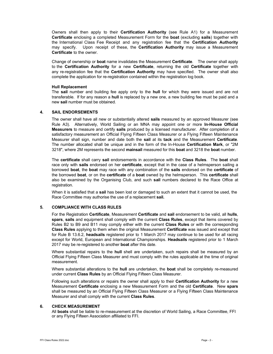Owners shall then apply to their **Certification Authority** (see Rule A1) for a Measurement Certificate enclosing a completed Measurement Form for the boat (excluding sails) together with the International Class Fee Receipt and any registration fee that the Certification Authority may specify. Upon receipt of these, the **Certification Authority** may issue a Measurement Certificate to the owner.

Change of ownership or boat name invalidates the Measurement Certificate. The owner shall apply to the Certification Authority for a new Certificate, returning the old Certificate together with any re-registration fee that the Certification Authority may have specified. The owner shall also complete the application for re-registration contained within the registration log book.

#### Hull Replacement

The sail number and building fee apply only to the hull for which they were issued and are not transferable. If for any reason a hull is replaced by a new one, a new building fee must be paid and a new sail number must be obtained.

# 4. SAIL ENDORSEMENTS

The owner shall have all new or substantially altered **sails** measured by an approved Measurer (see Rule A3). Alternatively, World Sailing or an MNA may appoint one or more In-House Official Measurers to measure and certify sails produced by a licensed manufacturer. After completion of a satisfactory measurement an Official Flying Fifteen Class Measurer or a Flying Fifteen Maintenance Measurer shall sign, number and date both the sail at its tack and the Measurement Certificate. The number allocated shall be unique and in the form of the In-House Certification Mark, or "2M 3218", where 2M represents the second mainsail measured for this boat and 3218 the boat number.

The certificate shall carry sail endorsements in accordance with the Class Rules. The boat shall race only with sails endorsed on her certificate, except that in the case of a helmsperson sailing a borrowed boat, the boat may race with any combination of the sails endorsed on the certificate of the borrowed boat, or on the certificate of a boat owned by the helmsperson. This certificate shall also be examined by the Organising Club, and such sail numbers declared to the Race Office at registration.

When it is satisfied that a **sail** has been lost or damaged to such an extent that it cannot be used, the Race Committee may authorise the use of a replacement sail.

#### 5. COMPLIANCE WITH CLASS RULES

For the Registration Certificate, Measurement Certificate and sail endorsement to be valid, all hulls, spars, sails and equipment shall comply with the current Class Rules, except that items covered by Rules B2 to B9 and B11 may comply either with the current Class Rules or with the corresponding Class Rules applying to them when the original Measurement Certificate was issued and except that for Rule B 13.6.2, headsails registered prior to 1 March 2017 may continue to be used for all racing except for World, European and International Championships. **Headsails** registered prior to 1 March 2017 may be re-registered to another **boat** after this date.

Where substantial repairs to the hull shell are undertaken, such repairs shall be measured by an Official Flying Fifteen Class Measurer and must comply with the rules applicable at the time of original measurement.

Where substantial alterations to the **hull** are undertaken, the **boat** shall be completely re-measured under current Class Rules by an Official Flying Fifteen Class Measurer.

Following such alterations or repairs the owner shall apply to their **Certification Authority** for a new Measurement Certificate enclosing a new Measurement Form and the old Certificate. New spars shall be measured by an Official Flying Fifteen Class Measurer or a Flying Fifteen Class Maintenance Measurer and shall comply with the current Class Rules.

#### 6. CHECK MEASUREMENT

All **boats** shall be liable to re-measurement at the discretion of World Sailing, a Race Committee, FFI or any Flying Fifteen Association affiliated to FFI.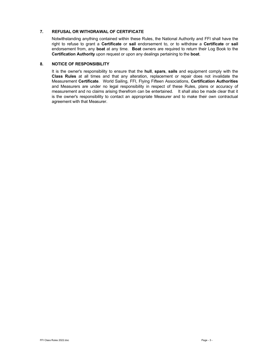# 7. REFUSAL OR WITHDRAWAL OF CERTIFICATE

Notwithstanding anything contained within these Rules, the National Authority and FFI shall have the right to refuse to grant a Certificate or sail endorsement to, or to withdraw a Certificate or sail endorsement from, any boat at any time. Boat owners are required to return their Log Book to the Certification Authority upon request or upon any dealings pertaining to the boat.

# 8. NOTICE OF RESPONSIBILITY

It is the owner's responsibility to ensure that the hull, spars, sails and equipment comply with the Class Rules at all times and that any alteration, replacement or repair does not invalidate the Measurement Certificate. World Sailing, FFI, Flying Fifteen Associations, Certification Authorities and Measurers are under no legal responsibility in respect of these Rules, plans or accuracy of measurement and no claims arising therefrom can be entertained. It shall also be made clear that it is the owner's responsibility to contact an appropriate Measurer and to make their own contractual agreement with that Measurer.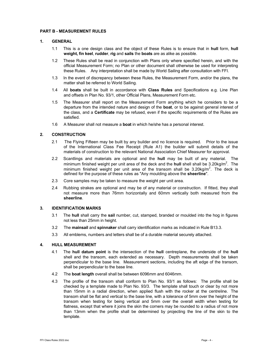#### PART B - MEASUREMENT RULES

#### 1. GENERAL

- 1.1 This is a one design class and the object of these Rules is to ensure that in **hull** form, hull weight, fin keel, rudder, rig and sails the boats are as alike as possible.
- 1.2 These Rules shall be read in conjunction with Plans only where specified herein, and with the official Measurement Form; no Plan or other document shall otherwise be used for interpreting these Rules. Any interpretation shall be made by World Sailing after consultation with FFI.
- 1.3 In the event of discrepancy between these Rules, the Measurement Form, and/or the plans, the matter shall be referred to World Sailing.
- 1.4 All boats shall be built in accordance with Class Rules and Specifications e.g. Line Plan and offsets in Plan No. 93/1, other Official Plans, Measurement Form etc.
- 1.5 The Measurer shall report on the Measurement Form anything which he considers to be a departure from the intended nature and design of the **boat**, or to be against general interest of the class, and a Certificate may be refused, even if the specific requirements of the Rules are satisfied.
- 1.6 A Measurer shall not measure a **boat** in which he/she has a personal interest.

#### 2. CONSTRUCTION

- 2.1 The Flying Fifteen may be built by any builder and no licence is required. Prior to the issue of the International Class Fee Receipt (Rule A1) the builder will submit details of the materials of construction to the relevant National Association Chief Measurer for approval.
- 2.2 Scantlings and materials are optional and the hull may be built of any material. The minimum finished weight per unit area of the deck and the **hull** shell shall be 3.20kg/m<sup>2</sup>. The minimum finished weight per unit area of the transom shall be  $3.20$ kg/m<sup>2</sup>. The deck is defined for the purpose of these rules as "Any moulding above the sheerline".
- 2.3 Core samples may be taken to measure the weight per unit area.
- 2.4 Rubbing strakes are optional and may be of any material or construction. If fitted, they shall not measure more than 76mm horizontally and 60mm vertically both measured from the sheerline.

#### 3. IDENTIFICATION MARKS

- 3.1 The hull shall carry the sail number, cut, stamped, branded or moulded into the hog in figures not less than 25mm in height.
- 3.2 The mainsail and spinnaker shall carry identification marks as indicated in Rule B13.3.
- 3.3 All emblems, numbers and letters shall be of a durable material securely attached.

#### 4. HULL MEASUREMENT

- 4.1 The hull datum point is the intersection of the hull centreplane, the underside of the hull shell and the transom, each extended as necessary. Depth measurements shall be taken perpendicular to the base line. Measurement sections, including the aft edge of the transom, shall be perpendicular to the base line.
- 4.2 The boat length overall shall be between 6096mm and 6046mm.
- 4.3 The profile of the transom shall conform to Plan No. 93/1 as follows: The profile shall be checked by a template made to Plan No. 93/3. The template shall touch or clear by not more than 15mm in a radial direction, when applied flush with the rocker at the centreline. The transom shall be flat and vertical to the base line, with a tolerance of 5mm over the height of the transom when testing for being vertical and 5mm over the overall width when testing for flatness, except that where it joins the skin the corners may be rounded to a radius of not more than 13mm when the profile shall be determined by projecting the line of the skin to the template.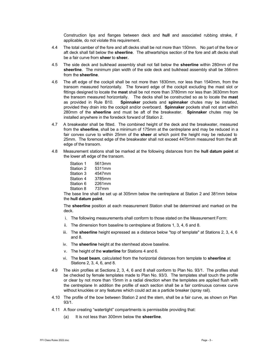Construction lips and flanges between deck and hull and associated rubbing strake, if applicable, do not violate this requirement.

- 4.4 The total camber of the fore and aft decks shall be not more than 150mm. No part of the fore or aft deck shall fall below the sheerline. The athwartships section of the fore and aft decks shall be a fair curve from **sheer** to **sheer.**
- 4.5 The side deck and bulkhead assembly shall not fall below the **sheerline** within 280mm of the sheerline. The minimum plan width of the side deck and bulkhead assembly shall be 356mm from the sheerline.
- 4.6 The aft edge of the cockpit shall be not more than 1830mm, nor less than 1540mm, from the transom measured horizontally. The forward edge of the cockpit excluding the mast slot or fittings designed to locate the **mast** shall be not more than 3780mm nor less than 3630mm from the transom measured horizontally. The decks shall be constructed so as to locate the mast as provided in Rule B10. Spinnaker pockets and spinnaker chutes may be installed, provided they drain into the cockpit and/or overboard. Spinnaker pockets shall not start within 280mm of the sheerline and must be aft of the breakwater. Spinnaker chutes may be installed anywhere in the foredeck forward of Station 2.
- 4.7 A breakwater shall be fitted. The combined height of the deck and the breakwater, measured from the sheerline, shall be a minimum of 175mm at the centreplane and may be reduced in a fair convex curve to within 25mm of the **sheer** at which point the height may be reduced to 25mm. The foremost edge of the breakwater shall not exceed 4475mm measured from the aft edge of the transom.
- 4.8 Measurement stations shall be marked at the following distances from the **hull datum point** at the lower aft edge of the transom.

| Station 1 | 5613mm |
|-----------|--------|
| Station 2 | 5311mm |
| Station 3 | 4547mm |
| Station 4 | 3785mm |
| Station 6 | 2261mm |
| Station 8 | 737mm  |

The base line shall be set up at 305mm below the centreplane at Station 2 and 381mm below the hull datum point.

The sheerline position at each measurement Station shall be determined and marked on the deck.

- i. The following measurements shall conform to those stated on the Measurement Form:
- ii. The dimension from baseline to centreplane at Stations 1, 3, 4, 6 and 8.
- iii. The sheerline height expressed as a distance below "top of template" at Stations 2, 3, 4, 6 and 8.
- iv. The **sheerline** height at the stemhead above baseline.
- v. The height of the waterline for Stations 4 and 6.
- vi. The boat beam, calculated from the horizontal distances from template to sheerline at Stations 2, 3, 4, 6, and 8.
- 4.9 The skin profiles at Sections 2, 3, 4, 6 and 8 shall conform to Plan No. 93/1. The profiles shall be checked by female templates made to Plan No. 93/3. The templates shall touch the profile or clear by not more than 15mm in a radial direction when the templates are applied flush with the centreplane In addition the profile of each section shall be a fair continuous convex curve without knuckles or any features which could act as a particle breaker (spray rail).
- 4.10 The profile of the bow between Station 2 and the stem, shall be a fair curve, as shown on Plan 93/1.
- 4.11 A floor creating "watertight" compartments is permissible providing that:
	- (a) It is not less than 300mm below the **sheerline**.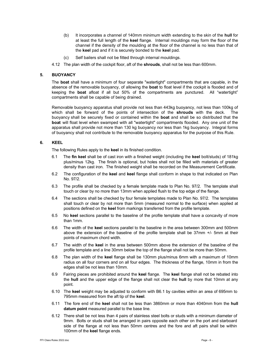- (b) It incorporates a channel of 140mm minimum width extending to the skin of the hull for at least the full length of the keel flange. Internal mouldings may form the floor of the channel if the density of the moulding at the floor of the channel is no less than that of the keel pad and if it is securely bonded to the keel pad.
- (c) Self bailers shall not be fitted through internal mouldings.
- 4.12 The plan width of the cockpit floor, aft of the **shrouds**, shall not be less than 600mm.

# 5. BUOYANCY

The **boat** shall have a minimum of four separate "watertight" compartments that are capable, in the absence of the removable buoyancy, of allowing the **boat** to float level if the cockpit is flooded and of keeping the **boat** afloat if all but 50% of the compartments are punctured. All "watertight" compartments shall be capable of being drained.

Removable buoyancy apparatus shall provide not less than 443kg buoyancy, not less than 100kg of which shall be forward of the points of intersection of the shrouds with the deck. The buoyancy shall be securely fixed or contained within the **boat** and shall be so distributed that the boat will float level when swamped with all "watertight" compartments flooded. Any one unit of the apparatus shall provide not more than 130 kg buoyancy nor less than 1kg buoyancy. Integral forms of buoyancy shall not contribute to the removable buoyancy apparatus for the purpose of this Rule.

# 6. KEEL

The following Rules apply to the keel in its finished condition.

- 6.1 The fin keel shall be of cast iron with a finished weight (including the keel bolt/studs) of 181kg plus/minus 12kg. The finish is optional, but holes shall not be filled with materials of greater density than cast iron. The finished weight shall be recorded on the Measurement Certificate.
- 6.2 The configuration of the keel and keel flange shall conform in shape to that indicated on Plan No. 97/2.
- 6.3 The profile shall be checked by a female template made to Plan No. 97/2. The template shall touch or clear by no more than 13mm when applied flush to the top edge of the flange.
- 6.4 The sections shall be checked by four female templates made to Plan No. 97/2. The templates shall touch or clear by not more than 5mm (measured normal to the surface) when applied at positions defined on the keel from markings transferred from the profile template.
- 6.5 No keel sections parallel to the baseline of the profile template shall have a concavity of more than 1mm.
- 6.6 The width of the keel sections parallel to the baseline in the area between 300mm and 500mm above the extension of the baseline of the profile template shall be 37mm +/- 5mm at their points of maximum chord width.
- 6.7 The width of the keel in the area between 500mm above the extension of the baseline of the profile template and a line 30mm below the top of the flange shall not be more than 50mm.
- 6.8 The plan width of the keel flange shall be 130mm plus/minus 6mm with a maximum of 10mm radius on all four corners and on all four edges. The thickness of the flange, 10mm in from the edges shall be not less than 10mm.
- 6.9 Fairing pieces are prohibited around the keel flange. The keel flange shall not be rebated into the hull and the upper edge of the flange shall not clear the hull by more that 10mm at any point.
- 6.10 The keel weight may be adjusted to conform with B6.1 by cavities within an area of 695mm to 795mm measured from the aft tip of the keel.
- 6.11 The fore end of the keel shall not be less than 3860mm or more than 4040mm from the hull datum point measured parallel to the base line.
- 6.12 There shall be not less than 4 pairs of stainless steel bolts or studs with a minimum diameter of 9mm. Bolts or studs shall be arranged in pairs opposite each other on the port and starboard side of the flange at not less than 50mm centres and the fore and aft pairs shall be within 100mm of the keel flange ends.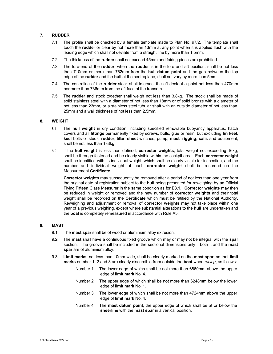# 7. RUDDER

- 7.1 The profile shall be checked by a female template made to Plan No. 97/2. The template shall touch the **rudder** or clear by not more than 13mm at any point when it is applied flush with the leading edge which shall not deviate from a straight line by more than 1.5mm.
- 7.2 The thickness of the rudder shall not exceed 45mm and fairing pieces are prohibited.
- 7.3 The fore-end of the rudder, when the rudder is in the fore and aft position, shall be not less than 710mm or more than 762mm from the hull datum point and the gap between the top edge of the **rudder** and the hull at the centreplane, shall not vary by more than 5mm.
- 7.4 The centreline of the rudder stock shall intersect the aft deck at a point not less than 470mm nor more than 736mm from the aft face of the transom.
- 7.5 The rudder and stock together shall weigh not less than 3.8kg. The stock shall be made of solid stainless steel with a diameter of not less than 18mm or of solid bronze with a diameter of not less than 23mm, or a stainless steel tubular shaft with an outside diameter of not less than 25mm and a wall thickness of not less than 2.5mm.

### 8. WEIGHT

- 8.1 The hull weight in dry condition, including specified removable buoyancy apparatus, hatch covers and all fittings permanently fixed by screws, bolts, glue or resin, but excluding fin keel, keel bolts or studs, rudder, tiller, sheet winches, pump, mast, rigging, sails and equipment, shall be not less than 133kg.
- 8.2 If the hull weight is less than defined, corrector weights, total weight not exceeding 16kg, shall be through fastened and be clearly visible within the cockpit area. Each corrector weight shall be identified with its individual weight, which shall be clearly visible for inspection, and the number and individual weight of each corrector weight shall be recorded on the Measurement Certificate.

Corrector weights may subsequently be removed after a period of not less than one year from the original date of registration subject to the hull being presented for reweighing by an Official Flying Fifteen Class Measurer in the same condition as for B8.1. Corrector weights may then be reduced in weight or removed and the new number of corrector weights and their total weight shall be recorded on the **Certificate** which must be ratified by the National Authority. Reweighing and adjustment or removal of corrector weights may not take place within one year of a previous weighing, except where substantial alterations to the hull are undertaken and the boat is completely remeasured in accordance with Rule A5.

#### 9. MAST

- 9.1 The **mast spar** shall be of wood or aluminium alloy extrusion.
- 9.2 The mast shall have a continuous fixed groove which may or may not be integral with the spar section. The groove shall be included in the sectional dimensions only if both it and the mast spar are of aluminium alloy.
- 9.3 Limit marks, not less than 10mm wide, shall be clearly marked on the mast spar, so that limit marks number 1, 2 and 3 are clearly discernible from outside the **boat** when *racing*, as follows:
	- Number 1 The lower edge of which shall be not more than 6860mm above the upper edge of limit mark No. 4.
	- Number 2 The upper edge of which shall be not more than 6248mm below the lower edge of limit mark No. 1.
	- Number 3 The lower edge of which shall be not more than 4724mm above the upper edge of limit mark No. 4.
	- Number 4 The mast datum point, the upper edge of which shall be at or below the sheerline with the mast spar in a vertical position.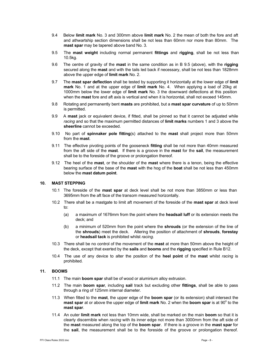- 9.4 Below limit mark No. 3 and 300mm above limit mark No. 2 the mean of both the fore and aft and athwartship section dimensions shall be not less than 60mm nor more than 80mm. The mast spar may be tapered above band No. 3.
- 9.5 The mast weight including normal permanent fittings and rigging, shall be not less than 10.5kg.
- 9.6 The centre of gravity of the **mast** in the same condition as in B 9.5 (above), with the **rigging** secured along the **mast** and with the tails led back if necessary, shall be not less than 1828mm above the upper edge of limit mark No. 2.
- 9.7 The mast spar deflection shall be tested by supporting it horizontally at the lower edge of limit mark No. 1 and at the upper edge of limit mark No. 4. When applying a load of 20kg at 1000mm below the lower edge of limit mark No. 3 the downward deflections at this position when the **mast** fore and aft axis is vertical and when it is horizontal, shall not exceed 145mm.
- 9.8 Rotating and permanently bent masts are prohibited, but a mast spar curvature of up to 50mm is permitted.
- 9.9 A mast jack or equivalent device, if fitted, shall be pinned so that it cannot be adjusted while racing and so that the maximum permitted distances of limit marks numbers 1 and 3 above the sheerline cannot be exceeded.
- 9.10 No part of spinnaker pole fitting(s) attached to the mast shall project more than  $50mm$ from the mast.
- 9.11 The effective pivoting points of the gooseneck fitting shall be not more than 40mm measured from the aft side of the mast. If there is a groove in the mast for the sail, the measurement shall be to the foreside of the groove or prolongation thereof.
- 9.12 The heel of the mast, or the shoulder of the mast where there is a tenon, being the effective bearing surface of the base of the mast with the hog of the boat shall be not less than 450mm below the mast datum point.

# 10. MAST STEPPING

- 10.1 The foreside of the mast spar at deck level shall be not more than 3850mm or less than 3695mm from the aft face of the transom measured horizontally.
- 10.2 There shall be a mastgate to limit aft movement of the foreside of the mast spar at deck level to:
	- (a) a maximum of 1676mm from the point where the headsail luff or its extension meets the deck; and
	- (b) a minimum of 520mm from the point where the **shrouds** (or the extension of the line of the shrouds) meet the deck. Altering the position of attachment of shrouds, forestay or headsail tack is prohibited whilst racing.
- 10.3 There shall be no control of the movement of the **mast** at more than 50mm above the height of the deck, except that exerted by the sails and booms and the rigging specified in Rule B12.
- 10.4 The use of any device to alter the position of the heel point of the mast whilst racing is prohibited.

#### 11. BOOMS

- 11.1 The main **boom spar** shall be of wood or aluminium alloy extrusion.
- 11.2 The main boom spar, including sail track but excluding other fittings, shall be able to pass through a ring of 125mm internal diameter.
- 11.3 When fitted to the mast, the upper edge of the boom spar (or its extension) shall intersect the mast spar at or above the upper edge of limit mark No. 2 when the boom spar is at  $90^\circ$  to the mast spar.
- 11.4 An outer limit mark not less than 10mm wide, shall be marked on the main boom so that it is clearly discernible when racing with its inner edge not more than 3000mm from the aft side of the mast measured along the top of the boom spar. If there is a groove in the mast spar for the sail, the measurement shall be to the foreside of the groove or prolongation thereof.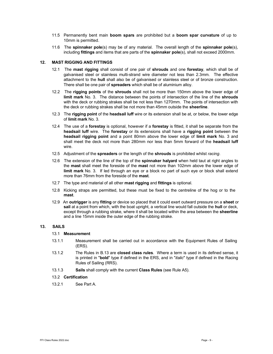- 11.5 Permanently bent main boom spars are prohibited but a boom spar curvature of up to 10mm is permitted.
- 11.6 The spinnaker pole(s) may be of any material. The overall length of the spinnaker pole(s), including fittings and items that are parts of the spinnaker pole(s), shall not exceed 2000mm.

#### 12. MAST RIGGING AND FITTINGS

- 12.1 The mast rigging shall consist of one pair of shrouds and one forestay, which shall be of galvanised steel or stainless multi-strand wire diameter not less than 2.3mm. The effective attachment to the hull shall also be of galvanised or stainless steel or of bronze construction. There shall be one pair of spreaders which shall be of aluminium alloy.
- 12.2 The rigging points of the shrouds shall not be more than 150mm above the lower edge of limit mark No. 3. The distance between the points of intersection of the line of the shrouds with the deck or rubbing strakes shall be not less than 1270mm. The points of intersection with the deck or rubbing strakes shall be not more than 45mm outside the sheerline.
- 12.3 The rigging point of the headsail luff wire or its extension shall be at, or below, the lower edge of limit mark No. 3.
- 12.4 The use of a **forestay** is optional, however if a **forestay** is fitted, it shall be separate from the headsail luff wire. The forestay or its extensions shall have a rigging point between the headsail rigging point and a point 80mm above the lower edge of limit mark No. 3 and shall meet the deck not more than 280mm nor less than 5mm forward of the headsail luff wire.
- 12.5 Adjustment of the spreaders or the length of the shrouds is prohibited whilst racing.
- 12.6 The extension of the line of the top of the spinnaker halyard when held taut at right angles to the mast shall meet the foreside of the mast not more than 102mm above the lower edge of limit mark No. 3. If led through an eye or a block no part of such eye or block shall extend more than 76mm from the foreside of the **mast**.
- 12.7 The type and material of all other **mast rigging** and **fittings** is optional.
- 12.8 Kicking straps are permitted, but these must be fixed to the centreline of the hog or to the mast.
- 12.9 An outrigger is any fitting or device so placed that it could exert outward pressure on a sheet or sail at a point from which, with the boat upright, a vertical line would fall outside the hull or deck, except through a rubbing strake, where it shall be located within the area between the sheerline and a line 15mm inside the outer edge of the rubbing strake.

# 13. SAILS

# 13.1 Measurement

- 13.1.1 Measurement shall be carried out in accordance with the Equipment Rules of Sailing (ERS).
- 13.1.2 The Rules in B.13 are closed class rules. Where a term is used in its defined sense, it is printed in "bold" type if defined in the ERS, and in "*italic*" type if defined in the Racing Rules of Sailing (RRS).
- 13.1.3 Sails shall comply with the current Class Rules (see Rule A5).

#### 13.2 Certification

13.2.1 See Part A.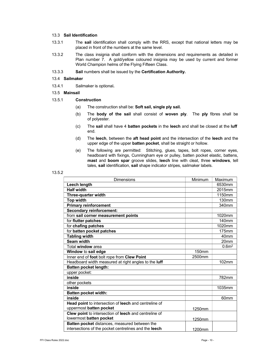#### 13.3 Sail Identification

- 13.3.1 The sail identification shall comply with the RRS, except that national letters may be placed in front of the numbers at the same level.
- 13.3.2 The class insignia shall conform with the dimensions and requirements as detailed in Plan number 7. A gold/yellow coloured insignia may be used by current and former World Champion helms of the Flying Fifteen Class.
- 13.3.3 Sail numbers shall be issued by the Certification Authority.

#### 13.4 Sailmaker

- 13.4.1 Sailmaker is optional.
- 13.5 Mainsail

# 13.5.1 Construction

- (a) The construction shall be: Soft sail, single ply sail.
- (b) The body of the sail shall consist of woven ply. The ply fibres shall be of polyester.
- $(c)$  The sail shall have 4 batten pockets in the leech and shall be closed at the luff end.
- (d) The leech, between the aft head point and the intersection of the leech and the upper edge of the upper batten pocket, shall be straight or hollow.
- (e) The following are permitted: Stitching, glues, tapes, bolt ropes, corner eyes, headboard with fixings, Cunningham eye or pulley, batten pocket elastic, battens, mast and boom spar groove slides, leech line with cleat, three windows, tell tales, sail identification, sail shape indicator stripes, sailmaker labels.

| <b>Dimensions</b>                                            | Minimum           | Maximum           |
|--------------------------------------------------------------|-------------------|-------------------|
| Leech length                                                 |                   | 6530mm            |
| <b>Half width</b>                                            |                   | 2015mm            |
| <b>Three-quarter width</b>                                   |                   | 1150mm            |
| <b>Top width</b>                                             |                   | 130mm             |
| <b>Primary reinforcement</b>                                 |                   | 340mm             |
| <b>Secondary reinforcement:</b>                              |                   |                   |
| from sail corner measurement points                          |                   | 1020mm            |
| for flutter patches                                          |                   | 140 <sub>mm</sub> |
| for chafing patches                                          |                   | 1020mm            |
| for batten pocket patches                                    |                   | 175mm             |
| <b>Tabling width</b>                                         |                   | 40 <sub>mm</sub>  |
| Seam width                                                   |                   | 20 <sub>mm</sub>  |
| Total window area                                            |                   | 0.6 <sup>m2</sup> |
| Window to sail edge                                          | 150 <sub>mm</sub> |                   |
| Inner end of foot bolt rope from Clew Point                  | 2500mm            |                   |
| Headboard width measured at right angles to the luff         |                   | 102mm             |
| <b>Batten pocket length:</b>                                 |                   |                   |
| upper pocket:                                                |                   |                   |
| inside                                                       |                   | 782mm             |
| other pockets                                                |                   |                   |
| inside                                                       |                   | 1035mm            |
| <b>Batten pocket width:</b>                                  |                   |                   |
| inside                                                       |                   | 60 <sub>mm</sub>  |
| <b>Head point to intersection of leech and centreline of</b> |                   |                   |
| uppermost batten pocket                                      | 1250mm            |                   |
| Clew point to intersection of leech and centreline of        |                   |                   |
| lowermost batten pocket                                      | 1250mm            |                   |
| Batten pocket distances, measured between the                |                   |                   |
| intersections of the pocket centrelines and the leech        | 1200mm            |                   |

# 13.5.2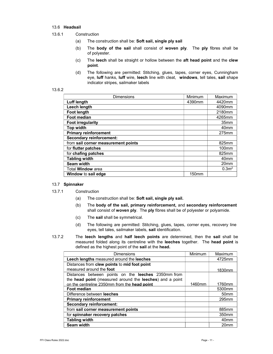# 13.6 Headsail

- 13.6.1 Construction
	- (a) The construction shall be: Soft sail, single ply sail
	- (b) The body of the sail shall consist of woven ply. The ply fibres shall be of polyester.
	- (c) The leech shall be straight or hollow between the aft head point and the clew point.
	- (d) The following are permitted: Stitching, glues, tapes, corner eyes, Cunningham eye, luff hanks, luff wire, leech line with cleat, windows, tell tales, sail shape indicator stripes, sailmaker labels

#### 13.6.2

| <b>Dimensions</b>                   | Minimum           | Maximum           |
|-------------------------------------|-------------------|-------------------|
| Luff length                         | 4390mm            | 4420mm            |
| Leech length                        |                   | 4090mm            |
| <b>Foot length</b>                  |                   | 2180mm            |
| Foot median                         |                   | 4265mm            |
| <b>Foot irregularity</b>            |                   | 35mm              |
| <b>Top width</b>                    |                   | 40 <sub>mm</sub>  |
| <b>Primary reinforcement</b>        |                   | 275mm             |
| <b>Secondary reinforcement:</b>     |                   |                   |
| from sail corner measurement points |                   | 825mm             |
| for <b>flutter</b> patches          |                   | $100$ mm          |
| for chafing patches                 |                   | 825mm             |
| <b>Tabling width</b>                |                   | 40 <sub>mm</sub>  |
| Seam width                          |                   | 20 <sub>mm</sub>  |
| Total <b>Window</b> area            |                   | 0.3 <sup>m2</sup> |
| Window to sail edge                 | 150 <sub>mm</sub> |                   |

#### 13.7 Spinnaker

- 13.7.1 Construction
	- (a) The construction shall be: Soft sail, single ply sail.
	- (b) The body of the sail, primary reinforcement, and secondary reinforcement shall consist of woven ply. The ply fibres shall be of polyester or polyamide.
	- (c) The sail shall be symmetrical.
	- (d) The following are permitted: Stitching, glues, tapes, corner eyes, recovery line eyes, tell tales, sailmaker labels, sail identification.
- 13.7.2 The leech lengths and half leech points are determined, then the sail shall be measured folded along its centreline with the leeches together. The head point is defined as the highest point of the sail at the head.

| Dimensions                                                 | Minimum | Maximum           |
|------------------------------------------------------------|---------|-------------------|
| Leech lengths measured around the leeches                  |         | 4725mm            |
| Distances from clew points to mid foot point               |         |                   |
| measured around the foot                                   |         | 1830mm            |
| Distances between points on the <b>leeches</b> 2350mm from |         |                   |
| the head point (measured around the leeches) and a point   |         |                   |
| on the centreline 2350mm from the head point               | 1460mm  | 1760mm            |
| <b>Foot median</b>                                         |         | 5300mm            |
| Difference between leeches                                 |         | 50 <sub>mm</sub>  |
| <b>Primary reinforcement</b>                               |         | 295mm             |
| <b>Secondary reinforcement:</b>                            |         |                   |
| from sail corner measurement points                        |         | 885mm             |
| for spinnaker recovery patches                             |         | 350 <sub>mm</sub> |
| <b>Tabling width</b>                                       |         | 40 <sub>mm</sub>  |
| Seam width                                                 |         | 20 <sub>mm</sub>  |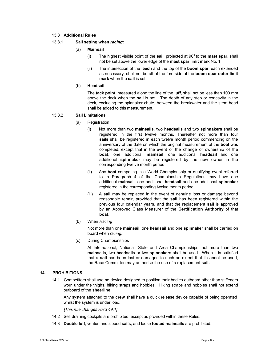#### 13.8 Additional Rules

#### 13.8.1 Sail setting when racing:

- (a) Mainsail
	- (i) The highest visible point of the sail, projected at  $90^\circ$  to the mast spar, shall not be set above the lower edge of the mast spar limit mark No. 1.
	- (ii) The intersection of the leech and the top of the boom spar, each extended as necessary, shall not be aft of the fore side of the boom spar outer limit mark when the sail is set.

#### (b) Headsail

The tack point, measured along the line of the luff, shall not be less than 100 mm above the deck when the sail is set. The depth of any step or concavity in the deck, excluding the spinnaker chute, between the breakwater and the stem head shall be added to this measurement.

# 13.8.2 Sail Limitations

- (a) Registration
	- (i) Not more than two mainsails, two headsails and two spinnakers shall be registered in the first twelve months. Thereafter not more than four sails shall be registered in each twelve month period commencing on the anniversary of the date on which the original measurement of the **boat** was completed, except that in the event of the change of ownership of the boat, one additional mainsail, one additional headsail and one additional spinnaker may be registered by the new owner in the corresponding twelve month period.
	- (ii) Any boat competing in a World Championship or qualifying event referred to in Paragraph 4 of the Championship Regulations may have one additional mainsail, one additional headsail and one additional spinnaker registered in the corresponding twelve month period.
	- (iii) A sail may be replaced in the event of genuine loss or damage beyond reasonable repair, provided that the sail has been registered within the previous four calendar years, and that the replacement sail is approved by an Approved Class Measurer of the Certification Authority of that boat.
- (b) When Racing

Not more than one mainsail, one headsail and one spinnaker shall be carried on board when racing.

(c) During Championships

At International, National, State and Area Championships, not more than two mainsails, two headsails or two spinnakers shall be used. When it is satisfied that a sail has been lost or damaged to such an extent that it cannot be used, the Race Committee may authorise the use of a replacement sail.

# 14. PROHIBITIONS

14.1 Competitors shall use no device designed to position their bodies outboard other than stiffeners worn under the thighs, hiking straps and hobbles. Hiking straps and hobbles shall not extend outboard of the sheerline.

Any system attached to the crew shall have a quick release device capable of being operated whilst the system is under load.

[This rule changes RRS 49.1]

- 14.2 Self draining cockpits are prohibited, except as provided within these Rules.
- 14.3 Double luff, venturi and zipped sails, and loose footed mainsails are prohibited.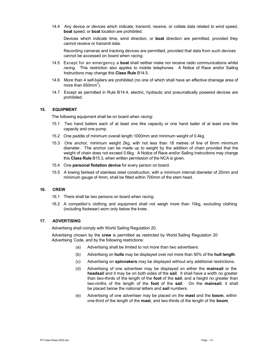14.4 Any device or devices which indicate, transmit, receive, or collate data related to wind speed, boat speed, or boat location are prohibited.

Devices which indicate time, wind direction, or **boat** direction are permitted, provided they cannot receive or transmit data.

Recording cameras and tracking devices are permitted, provided that data from such devices cannot be accessed on board when racing.

- 14.5 Except for an emergency a **boat** shall neither make nor receive radio communications whilst racing. This restriction also applies to mobile telephones. A Notice of Race and/or Sailing Instructions may change this Class Rule B14.5.
- 14.6 More than 4 self-bailers are prohibited (no one of which shall have an effective drainage area of more than 650 $\text{mm}^2$ ).
- 14.7 Except as permitted in Rule B14.4, electric, hydraulic and pneumatically powered devices are prohibited.

#### 15. EQUIPMENT

The following equipment shall be on board when racing:

- 15.1 Two hand bailers each of at least one litre capacity or one hand bailer of at least one litre capacity and one pump.
- 15.2 One paddle of minimum overall length 1000mm and minimum weight of 0.4kg.
- 15.3 One anchor, minimum weight 2kg, with not less than 18 metres of line of 6mm minimum diameter. The anchor can be made up to weight by the addition of chain provided that the weight of chain does not exceed 0.6kg. A Notice of Race and/or Sailing Instructions may change this Class Rule B15.3, when written permission of the NCA is given.
- 15.4 One personal flotation device for every person on board.
- 15.5 A towing fairlead of stainless steel construction, with a minimum internal diameter of 25mm and minimum gauge of 4mm, shall be fitted within 700mm of the stem head.

#### 16. CREW

- 16.1 There shall be two persons on board when racing.
- 16.2 A competitor's clothing and equipment shall not weigh more than 10kg, excluding clothing (including footwear) worn only below the knee.

### 17. ADVERTISING

Advertising shall comply with World Sailing Regulation 20.

Advertising chosen by the crew is permitted as restricted by World Sailing Regulation 20 Advertising Code, and by the following restrictions:

- (a) Advertising shall be limited to not more than two advertisers.
- (b) Advertising on hulls may be displayed over not more than 50% of the hull length.
- (c) Advertising on spinnakers may be displayed without any additional restrictions.
- (d) Advertising of one advertiser may be displayed on either the mainsail or the headsail and it may be on both sides of the sail. It shall have a width no greater than two-thirds of the length of the **foot** of the **sail**, and a height no greater than two-ninths of the length of the **foot** of the sail. On the mainsail, it shall be placed below the national letters and **sail** numbers.
- (e) Advertising of one advertiser may be placed on the mast and the boom, within one-third of the length of the mast, and two-thirds of the length of the boom.